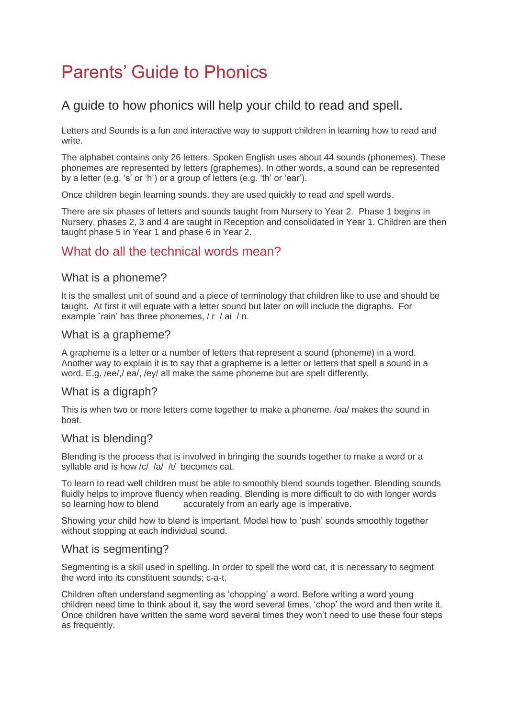# Parents' Guide to Phonics

## A guide to how phonics will help your child to read and spell.

Letters and Sounds is a fun and interactive way to support children in learning how to read and write.

The alphabet contains only 26 letters. Spoken English uses about 44 sounds (phonemes). These phonemes are represented by letters (graphemes). In other words, a sound can be represented by a letter (e.g. 's' or 'h') or a group of letters (e.g. 'th' or 'ear').

Once children begin learning sounds, they are used quickly to read and spell words.

There are six phases of letters and sounds taught from Nursery to Year 2. Phase 1 begins in Nursery, phases 2, 3 and 4 are taught in Reception and consolidated in Year 1. Children are then taught phase 5 in Year 1 and phase 6 in Year 2.

## What do all the technical words mean?

#### What is a phoneme?

It is the smallest unit of sound and a piece of terminology that children like to use and should be taught. At first it will equate with a letter sound but later on will include the digraphs. For example `rain' has three phonemes, / r / ai / n.

#### What is a grapheme?

A grapheme is a letter or a number of letters that represent a sound (phoneme) in a word. Another way to explain it is to say that a grapheme is a letter or letters that spell a sound in a word. E.g. /ee/,/ ea/, /ey/ all make the same phoneme but are spelt differently.

#### What is a digraph?

This is when two or more letters come together to make a phoneme. /oa/ makes the sound in boat.

#### What is blending?

Blending is the process that is involved in bringing the sounds together to make a word or a syllable and is how /c/ /a/ /t/ becomes cat.

To learn to read well children must be able to smoothly blend sounds together. Blending sounds fluidly helps to improve fluency when reading. Blending is more difficult to do with longer words so learning how to blend accurately from an early age is imperative.

Showing your child how to blend is important. Model how to 'push' sounds smoothly together without stopping at each individual sound.

#### What is segmenting?

Segmenting is a skill used in spelling. In order to spell the word cat, it is necessary to segment the word into its constituent sounds; c-a-t.

Children often understand segmenting as 'chopping' a word. Before writing a word young children need time to think about it, say the word several times, 'chop' the word and then write it. Once children have written the same word several times they won't need to use these four steps as frequently.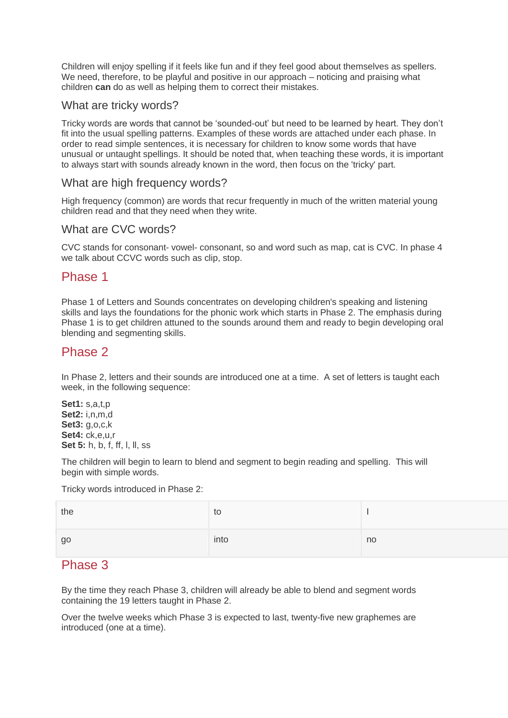Children will enjoy spelling if it feels like fun and if they feel good about themselves as spellers. We need, therefore, to be playful and positive in our approach – noticing and praising what children **can** do as well as helping them to correct their mistakes.

#### What are tricky words?

Tricky words are words that cannot be 'sounded-out' but need to be learned by heart. They don't fit into the usual spelling patterns. Examples of these words are attached under each phase. In order to read simple sentences, it is necessary for children to know some words that have unusual or untaught spellings. It should be noted that, when teaching these words, it is important to always start with sounds already known in the word, then focus on the 'tricky' part.

#### What are high frequency words?

High frequency (common) are words that recur frequently in much of the written material young children read and that they need when they write.

#### What are CVC words?

CVC stands for consonant- vowel- consonant, so and word such as map, cat is CVC. In phase 4 we talk about CCVC words such as clip, stop.

### Phase 1

Phase 1 of Letters and Sounds concentrates on developing children's speaking and listening skills and lays the foundations for the phonic work which starts in Phase 2. The emphasis during Phase 1 is to get children attuned to the sounds around them and ready to begin developing oral blending and segmenting skills.

## Phase 2

In Phase 2, letters and their sounds are introduced one at a time. A set of letters is taught each week, in the following sequence:

**Set1:** s,a,t,p **Set2:** i,n,m,d **Set3:** g,o,c,k **Set4:** ck,e,u,r **Set 5:** h, b, f, ff, l, ll, ss

The children will begin to learn to blend and segment to begin reading and spelling. This will begin with simple words.

Tricky words introduced in Phase 2:

| the | to   |    |
|-----|------|----|
| go  | into | no |

## Phase 3

By the time they reach Phase 3, children will already be able to blend and segment words containing the 19 letters taught in Phase 2.

Over the twelve weeks which Phase 3 is expected to last, twenty-five new graphemes are introduced (one at a time).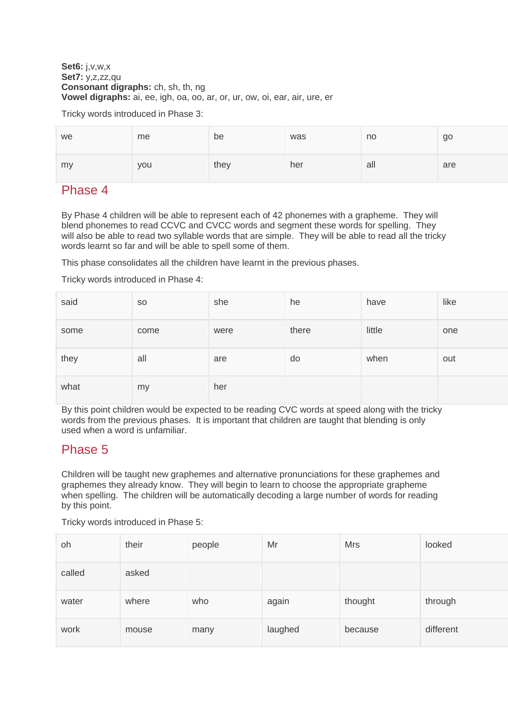#### **Set6:** j,v,w,x **Set7:** y,z,zz,qu **Consonant digraphs:** ch, sh, th, ng **Vowel digraphs:** ai, ee, igh, oa, oo, ar, or, ur, ow, oi, ear, air, ure, er

Tricky words introduced in Phase 3:

| we | me  | be   | was | no  | go  |
|----|-----|------|-----|-----|-----|
| my | you | they | her | all | are |

## Phase 4

By Phase 4 children will be able to represent each of 42 phonemes with a grapheme. They will blend phonemes to read CCVC and CVCC words and segment these words for spelling. They will also be able to read two syllable words that are simple. They will be able to read all the tricky words learnt so far and will be able to spell some of them.

This phase consolidates all the children have learnt in the previous phases.

Tricky words introduced in Phase 4:

| said | <b>SO</b> | she  | he    | have   | like |
|------|-----------|------|-------|--------|------|
| some | come      | were | there | little | one  |
| they | all       | are  | do    | when   | out  |
| what | my        | her  |       |        |      |

By this point children would be expected to be reading CVC words at speed along with the tricky words from the previous phases. It is important that children are taught that blending is only used when a word is unfamiliar.

# Phase 5

Children will be taught new graphemes and alternative pronunciations for these graphemes and graphemes they already know. They will begin to learn to choose the appropriate grapheme when spelling. The children will be automatically decoding a large number of words for reading by this point.

Tricky words introduced in Phase 5:

| oh     | their | people | Mr      | <b>Mrs</b> | looked    |
|--------|-------|--------|---------|------------|-----------|
| called | asked |        |         |            |           |
| water  | where | who    | again   | thought    | through   |
| work   | mouse | many   | laughed | because    | different |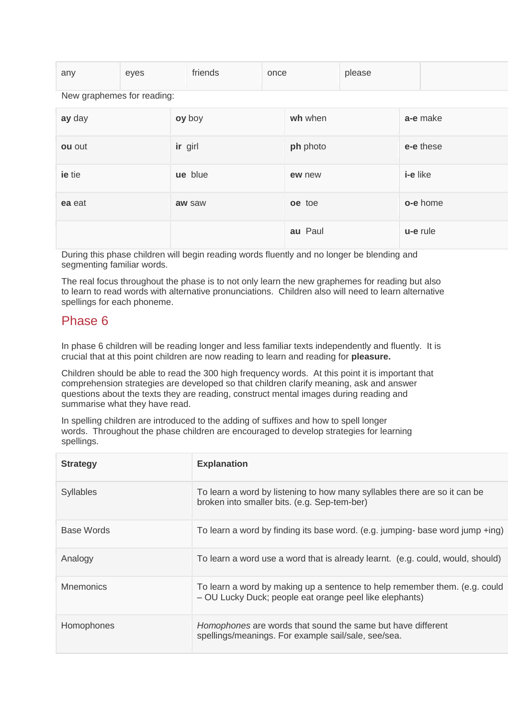| any | eyes | friends | once | please |  |
|-----|------|---------|------|--------|--|
|     |      |         |      |        |  |

New graphemes for reading:

| ay day | oy boy  | wh when  | a-e make  |
|--------|---------|----------|-----------|
| ou out | ir girl | ph photo | e-e these |
| ie tie | ue blue | ew new   | i-e like  |
| ea eat | aw saw  | oe toe   | o-e home  |
|        |         | au Paul  | u-e rule  |

During this phase children will begin reading words fluently and no longer be blending and segmenting familiar words.

The real focus throughout the phase is to not only learn the new graphemes for reading but also to learn to read words with alternative pronunciations. Children also will need to learn alternative spellings for each phoneme.

## Phase 6

In phase 6 children will be reading longer and less familiar texts independently and fluently. It is crucial that at this point children are now reading to learn and reading for **pleasure.**

Children should be able to read the 300 high frequency words. At this point it is important that comprehension strategies are developed so that children clarify meaning, ask and answer questions about the texts they are reading, construct mental images during reading and summarise what they have read.

In spelling children are introduced to the adding of suffixes and how to spell longer words. Throughout the phase children are encouraged to develop strategies for learning spellings.

| <b>Strategy</b>  | <b>Explanation</b>                                                                                                                    |
|------------------|---------------------------------------------------------------------------------------------------------------------------------------|
| <b>Syllables</b> | To learn a word by listening to how many syllables there are so it can be<br>broken into smaller bits. (e.g. Sep-tem-ber)             |
| Base Words       | To learn a word by finding its base word. (e.g. jumping- base word jump +ing)                                                         |
| Analogy          | To learn a word use a word that is already learnt. (e.g. could, would, should)                                                        |
| <b>Mnemonics</b> | To learn a word by making up a sentence to help remember them. (e.g. could<br>- OU Lucky Duck; people eat orange peel like elephants) |
| Homophones       | Homophones are words that sound the same but have different<br>spellings/meanings. For example sail/sale, see/sea.                    |